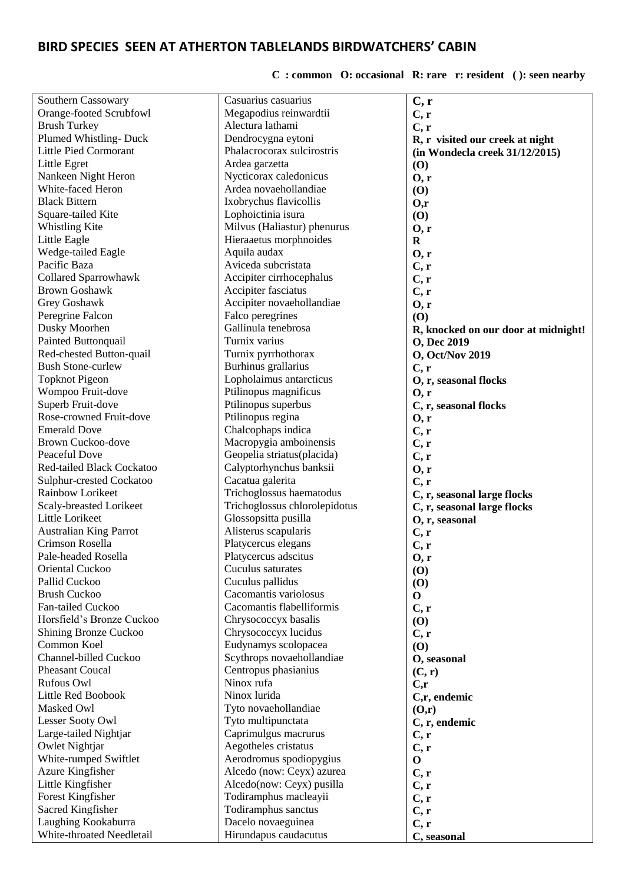## **BIRD SPECIES SEEN AT ATHERTON TABLELANDS BIRDWATCHERS' CABIN**

## **C : common O: occasional R: rare r: resident ( ): seen nearby**

| Southern Cassowary                           | Casuarius casuarius                                  | C, r                                     |
|----------------------------------------------|------------------------------------------------------|------------------------------------------|
| Orange-footed Scrubfowl                      | Megapodius reinwardtii                               | C, r                                     |
| <b>Brush Turkey</b>                          | Alectura lathami                                     | C, r                                     |
| Plumed Whistling-Duck                        | Dendrocygna eytoni                                   | R, r visited our creek at night          |
| <b>Little Pied Cormorant</b>                 | Phalacrocorax sulcirostris                           | (in Wondecla creek 31/12/2015)           |
| Little Egret                                 | Ardea garzetta                                       | (0)                                      |
| Nankeen Night Heron                          | Nycticorax caledonicus                               | 0, r                                     |
| White-faced Heron                            | Ardea novaehollandiae                                | (0)                                      |
| <b>Black Bittern</b>                         | Ixobrychus flavicollis                               | O, r                                     |
| Square-tailed Kite                           | Lophoictinia isura                                   | (0)                                      |
| Whistling Kite                               | Milvus (Haliastur) phenurus                          | 0, r                                     |
| Little Eagle                                 | Hieraaetus morphnoides                               | $\mathbf R$                              |
| Wedge-tailed Eagle                           | Aquila audax                                         | 0, r                                     |
| Pacific Baza                                 | Aviceda subcristata                                  | C, r                                     |
| <b>Collared Sparrowhawk</b>                  | Accipiter cirrhocephalus                             |                                          |
| <b>Brown Goshawk</b>                         | Accipiter fasciatus                                  | C, r                                     |
| Grey Goshawk                                 | Accipiter novaehollandiae                            | C, r                                     |
| Peregrine Falcon                             | Falco peregrines                                     | 0, r                                     |
| Dusky Moorhen                                | Gallinula tenebrosa                                  | (0)                                      |
| Painted Buttonquail                          | Turnix varius                                        | R, knocked on our door at midnight!      |
| Red-chested Button-quail                     |                                                      | <b>O, Dec 2019</b>                       |
| <b>Bush Stone-curlew</b>                     | Turnix pyrrhothorax                                  | <b>O</b> , Oct/Nov 2019                  |
|                                              | Burhinus grallarius                                  | C, r                                     |
| <b>Topknot Pigeon</b>                        | Lopholaimus antarcticus<br>Ptilinopus magnificus     | O, r, seasonal flocks                    |
| Wompoo Fruit-dove                            |                                                      | 0, r                                     |
| Superb Fruit-dove<br>Rose-crowned Fruit-dove | Ptilinopus superbus                                  | C, r, seasonal flocks                    |
| <b>Emerald Dove</b>                          | Ptilinopus regina                                    | 0, r                                     |
|                                              | Chalcophaps indica                                   | C, r                                     |
| <b>Brown Cuckoo-dove</b><br>Peaceful Dove    | Macropygia amboinensis                               | C, r                                     |
|                                              | Geopelia striatus(placida)                           | C, r                                     |
| <b>Red-tailed Black Cockatoo</b>             | Calyptorhynchus banksii                              | 0, r                                     |
| Sulphur-crested Cockatoo                     | Cacatua galerita                                     | C, r                                     |
| Rainbow Lorikeet                             | Trichoglossus haematodus                             | C, r, seasonal large flocks              |
| Scaly-breasted Lorikeet                      | Trichoglossus chlorolepidotus                        | C, r, seasonal large flocks              |
| Little Lorikeet                              | Glossopsitta pusilla                                 | O, r, seasonal                           |
| <b>Australian King Parrot</b>                | Alisterus scapularis                                 | C, r                                     |
| Crimson Rosella<br>Pale-headed Rosella       | Platycercus elegans                                  | C, r                                     |
|                                              | Platycercus adscitus                                 | 0, r                                     |
| Oriental Cuckoo                              | Cuculus saturates                                    | $\boldsymbol{\mathrm{(O)}}$              |
| Pallid Cuckoo                                | Cuculus pallidus                                     | $\boldsymbol{\left( \mathbf{0} \right)}$ |
| <b>Brush Cuckoo</b>                          | Cacomantis variolosus                                | $\mathbf{O}$                             |
| Fan-tailed Cuckoo                            | Cacomantis flabelliformis                            | C, r                                     |
| Horsfield's Bronze Cuckoo                    | Chrysococcyx basalis                                 | (0)                                      |
| Shining Bronze Cuckoo<br>Common Koel         | Chrysococcyx lucidus                                 | C, r                                     |
| Channel-billed Cuckoo                        | Eudynamys scolopacea                                 | (O)                                      |
| Pheasant Coucal                              | Scythrops novaehollandiae                            | O, seasonal                              |
| <b>Rufous Owl</b>                            | Centropus phasianius<br>Ninox rufa                   | (C, r)                                   |
| Little Red Boobook                           | Ninox lurida                                         | C, r                                     |
| Masked Owl                                   | Tyto novaehollandiae                                 | C,r, endemic                             |
| Lesser Sooty Owl                             |                                                      | (0,r)                                    |
|                                              | Tyto multipunctata                                   | C, r, endemic                            |
| Large-tailed Nightjar<br>Owlet Nightjar      | Caprimulgus macrurus<br>Aegotheles cristatus         | C, r                                     |
|                                              |                                                      | C, r                                     |
| White-rumped Swiftlet<br>Azure Kingfisher    | Aerodromus spodiopygius<br>Alcedo (now: Ceyx) azurea | $\mathbf 0$                              |
|                                              |                                                      | C, r                                     |
| Little Kingfisher<br>Forest Kingfisher       | Alcedo(now: Ceyx) pusilla<br>Todiramphus macleayii   | C, r                                     |
| Sacred Kingfisher                            | Todiramphus sanctus                                  | C, r                                     |
| Laughing Kookaburra                          | Dacelo novaeguinea                                   | C, r                                     |
| White-throated Needletail                    | Hirundapus caudacutus                                | C, r                                     |
|                                              |                                                      | C, seasonal                              |